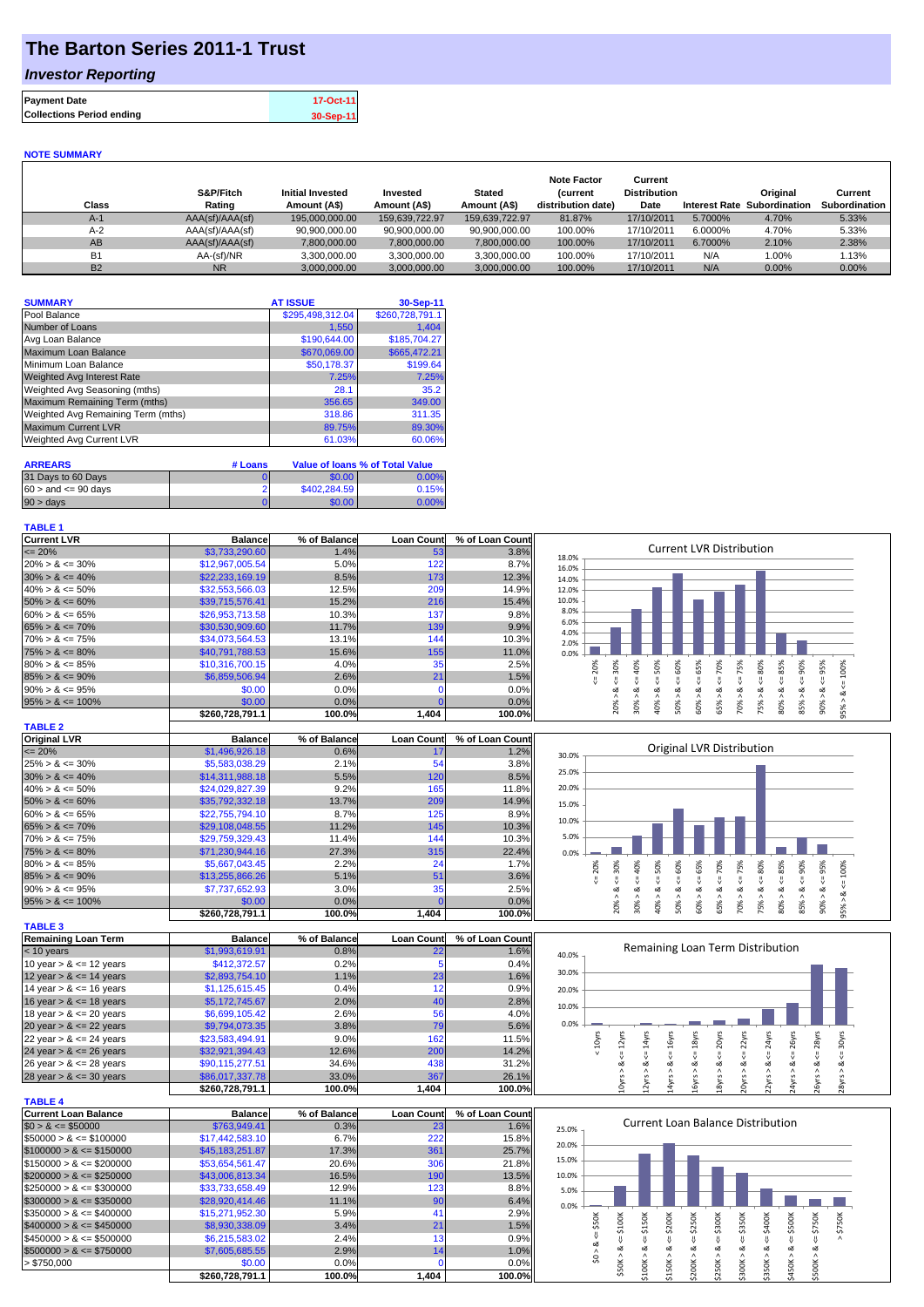## **The Barton Series 2011-1 Trust**

### *Investor Reporting*

| <b>Payment Date</b>              | 17-Oct-11 |
|----------------------------------|-----------|
| <b>Collections Period ending</b> | 30-Sep-11 |

#### **NOTE SUMMARY**

| Class     | S&P/Fitch<br>Rating | <b>Initial Invested</b><br>Amount (A\$) | Invested<br>Amount (A\$) | <b>Stated</b><br>Amount (A\$) | <b>Note Factor</b><br><b>Current</b><br>distribution date) | Current<br><b>Distribution</b><br>Date | <b>Interest Rate</b> | Original<br>Subordination | Current<br>Subordination |
|-----------|---------------------|-----------------------------------------|--------------------------|-------------------------------|------------------------------------------------------------|----------------------------------------|----------------------|---------------------------|--------------------------|
| $A-1$     | AAA(sf)/AAA(sf)     | 195.000.000.00                          | 159.639.722.97           | 159.639.722.97                | 81.87%                                                     | 17/10/2011                             | 5.7000%              | 4.70%                     | 5.33%                    |
| $A-2$     | AAA(sf)/AAA(sf)     | 90.900.000.00                           | 90.900.000.00            | 90.900.000.00                 | 100.00%                                                    | 17/10/2011                             | 6.0000%              | 4.70%                     | 5.33%                    |
| AB        | AAA(sf)/AAA(sf)     | 7,800,000.00                            | 7,800,000.00             | 7,800,000.00                  | 100.00%                                                    | 17/10/2011                             | 6.7000%              | 2.10%                     | 2.38%                    |
| <b>B1</b> | AA-(sf)/NR          | 3.300.000.00                            | 3.300.000.00             | 3.300.000.00                  | 100.00%                                                    | 17/10/2011                             | N/A                  | $1.00\%$                  | 1.13%                    |
| <b>B2</b> | <b>NR</b>           | 3,000,000.00                            | 3.000.000.00             | 3.000.000.00                  | 100.00%                                                    | 17/10/2011                             | N/A                  | 0.00%                     | $0.00\%$                 |

| <b>SUMMARY</b>                     | <b>AT ISSUE</b>  | 30-Sep-11       |
|------------------------------------|------------------|-----------------|
| Pool Balance                       | \$295,498,312.04 | \$260,728,791.1 |
| Number of Loans                    | 1,550            | 1.404           |
| Avg Loan Balance                   | \$190,644.00     | \$185,704.27    |
| <b>Maximum Loan Balance</b>        | \$670,069.00     | \$665,472.21    |
| Minimum Loan Balance               | \$50,178.37      | \$199.64        |
| <b>Weighted Avg Interest Rate</b>  | 7.25%            | 7.25%           |
| Weighted Avg Seasoning (mths)      | 28.1             | 35.2            |
| Maximum Remaining Term (mths)      | 356.65           | 349.00          |
| Weighted Avg Remaining Term (mths) | 318.86           | 311.35          |
| <b>Maximum Current LVR</b>         | 89.75%           | 89.30%          |
| Weighted Avg Current LVR           | 61.03%           | 60.06%          |

| <b>ARREARS</b>            | # Loans |              | Value of Ioans % of Total Value |
|---------------------------|---------|--------------|---------------------------------|
| 31 Days to 60 Days        |         | \$0.00       | 0.00%                           |
| $60 >$ and $\leq 90$ davs |         | \$402,284,59 | 0.15%                           |
| $90 > \text{days}$        |         | \$0.00       | 0.00%                           |

| <b>TABLE 1</b>       |                 |              |                   |                 |                                                                                                             |
|----------------------|-----------------|--------------|-------------------|-----------------|-------------------------------------------------------------------------------------------------------------|
| <b>Current LVR</b>   | <b>Balance</b>  | % of Balance | <b>Loan Count</b> | % of Loan Count |                                                                                                             |
| $\leq$ 20%           | \$3,733,290.60  | 1.4%         | 53                | 3.8%            | Current LVR Distribution<br>18.0%                                                                           |
| $20\% > 8 \le 30\%$  | \$12,967,005.54 | 5.0%         | 122               | 8.7%            | 16.0%                                                                                                       |
| $30\% > 8 \le 40\%$  | \$22,233,169.19 | 8.5%         | 173               | 12.3%           | 14.0%                                                                                                       |
| $40\% > 8 \le 50\%$  | \$32,553,566.03 | 12.5%        | 209               | 14.9%           | 12.0%                                                                                                       |
| $50\% > 8 \le 60\%$  | \$39,715,576.41 | 15.2%        | 216               | 15.4%           | 10.0%                                                                                                       |
| $60\% > 8 \le 65\%$  | \$26,953,713,58 | 10.3%        | 137               | 9.8%            | 8.0%                                                                                                        |
| $65\% > 8 \le 70\%$  | \$30,530,909.60 | 11.7%        | 139               | 9.9%            | 6.0%<br>4.0%                                                                                                |
| $70\% > 8 \le 75\%$  | \$34,073,564.53 | 13.1%        | 144               | 10.3%           | 2.0%                                                                                                        |
| $75\% > 8 \le 80\%$  | \$40,791,788.53 | 15.6%        | 155               | 11.0%           | 0.0%                                                                                                        |
| $80\% > 8 \le 85\%$  | \$10,316,700.15 | 4.0%         | 35                | 2.5%            | ℅<br>వ్<br>৯ৎ<br>$\mathcal{N}$<br>ġ<br>Ŕ<br>Š<br>Ř<br>ဝ္တ<br>Ė9<br>in.<br>S.<br>55<br>m                     |
| $85\% > 8 \le 90\%$  | \$6,859,506.94  | 2.6%         | 21                | 1.5%            |                                                                                                             |
| $90\% > 8 \le 95\%$  | \$0.00          | 0.0%         |                   | 0.0%            | ۵X                                                                                                          |
| $95\% > 8 \le 100\%$ | \$0.00          | 0.0%         |                   | 0.0%            | ð<br>Ö<br>∘                                                                                                 |
|                      | \$260.728.791.1 | 100.0%       | 1.404             | 100.0%          | స్లే<br>80%<br>ă,<br>∘<br>∘<br>m<br>⊂<br>$\bar{N}$<br>ıñ<br>١ō<br>$\infty$<br>∼<br>$\overline{\phantom{0}}$ |

| <b>TABLE 2</b>       |                 |              |                   |                 |
|----------------------|-----------------|--------------|-------------------|-----------------|
| <b>Original LVR</b>  | <b>Balance</b>  | % of Balance | <b>Loan Count</b> | % of Loan Count |
| $\leq$ 20%           | \$1,496,926.18  | 0.6%         |                   | 1.2%            |
| $25\% > 8 \le 30\%$  | \$5,583,038.29  | 2.1%         | 54                | 3.8%            |
| $30\% > 8 \le 40\%$  | \$14,311,988.18 | 5.5%         | 120               | 8.5%            |
| $40\% > 8 \le 50\%$  | \$24,029,827.39 | 9.2%         | 165               | 11.8%           |
| $50\% > 8 \le 60\%$  | \$35,792,332.18 | 13.7%        | 209               | 14.9%           |
| $60\% > 8 \le 65\%$  | \$22,755,794.10 | 8.7%         | 125               | 8.9%            |
| $65\% > 8 \le 70\%$  | \$29,108,048.55 | 11.2%        | 145               | 10.3%           |
| $70\% > 8 \le 75\%$  | \$29.759.329.43 | 11.4%        | 144               | 10.3%           |
| $75\% > 8 \le 80\%$  | \$71,230,944.16 | 27.3%        | 315               | 22.4%           |
| $80\% > 8 \le 85\%$  | \$5,667,043.45  | 2.2%         | 24                | 1.7%            |
| $85\% > 8 \le 90\%$  | \$13,255,866.26 | 5.1%         | 51                | 3.6%            |
| $90\% > 8 \le 95\%$  | \$7,737,652.93  | 3.0%         | 35                | 2.5%            |
| $95\% > 8 \le 100\%$ | \$0.00          | 0.0%         |                   | 0.0%            |
|                      | \$260.728.791.1 | 100.0%       | 1,404             | 100.0%          |

| <b>TABLE 3</b>             |                 |              |                   |                 |
|----------------------------|-----------------|--------------|-------------------|-----------------|
| <b>Remaining Loan Term</b> | <b>Balance</b>  | % of Balance | <b>Loan Count</b> | % of Loan Count |
| $<$ 10 years               | \$1,993,619.91  | 0.8%         | 22                | 1.6%            |
| 10 year $> 8 \le 12$ years | \$412,372.57    | 0.2%         |                   | 0.4%            |
| 12 year $> 8 \le 14$ years | \$2,893,754.10  | 1.1%         | 23                | 1.6%            |
| 14 year $> 8 \le 16$ years | \$1,125,615.45  | 0.4%         | 12                | 0.9%            |
| 16 year $> 8 \le 18$ years | \$5,172,745.67  | 2.0%         | 40                | 2.8%            |
| 18 year $> 8 \le 20$ years | \$6,699,105.42  | 2.6%         | 56                | 4.0%            |
| 20 year $> 8 \le 22$ years | \$9,794,073.35  | 3.8%         | 79                | 5.6%            |
| 22 year $> 8 \le 24$ years | \$23,583,494.91 | 9.0%         | 162               | 11.5%           |
| 24 year $> 8 \le 26$ years | \$32,921,394.43 | 12.6%        | 200               | 14.2%           |
| 26 year $> 8 \le 28$ years | \$90,115,277.51 | 34.6%        | 438               | 31.2%           |
| 28 year $> 8 \le 30$ years | \$86,017,337,78 | 33.0%        | 367               | 26.1%           |

**\$260,728,791.1 100.0% 1,404 100.0%**

| <b>TABLE 4</b>               |                 |              |                   |                 |
|------------------------------|-----------------|--------------|-------------------|-----------------|
| Current Loan Balance         | <b>Balance</b>  | % of Balance | <b>Loan Count</b> | % of Loan Count |
| $$0 > 8 \leq $50000$         | \$763,949.41    | 0.3%         | 23                | 1.6%            |
| $$50000 > 8 \leq $100000$    | \$17,442,583.10 | 6.7%         | 222               | 15.8%           |
| $$100000 > 8 \leq $150000$   | \$45,183,251,87 | 17.3%        | 361               | 25.7%           |
| $$150000 > 8 \leq $200000$   | \$53.654.561.47 | 20.6%        | 306               | 21.8%           |
| $$200000 > 8 \leq $250000$   | \$43,006,813,34 | 16.5%        | 190               | 13.5%           |
| $$250000 > 8 \leq $300000$   | \$33,733,658,49 | 12.9%        | 123               | 8.8%            |
| $$300000 > 8 \leq $350000$   | \$28,920,414.46 | 11.1%        | 90                | 6.4%            |
| $\$350000 > 8 \leq \$400000$ | \$15,271,952.30 | 5.9%         | 41                | 2.9%            |
| $$400000 > 8 \leq $450000$   | \$8,930,338.09  | 3.4%         | 21                | 1.5%            |
| $$450000 > 8 \leq $500000$   | \$6,215,583.02  | 2.4%         | 13                | 0.9%            |
| $$500000 > 8 \leq $750000$   | \$7,605,685.55  | 2.9%         | 14                | 1.0%            |
| > \$750,000                  | \$0.00          | 0.0%         |                   | 0.0%            |
|                              | \$260.728.791.1 | 100.0%       | 1.404             | 100.0%          |